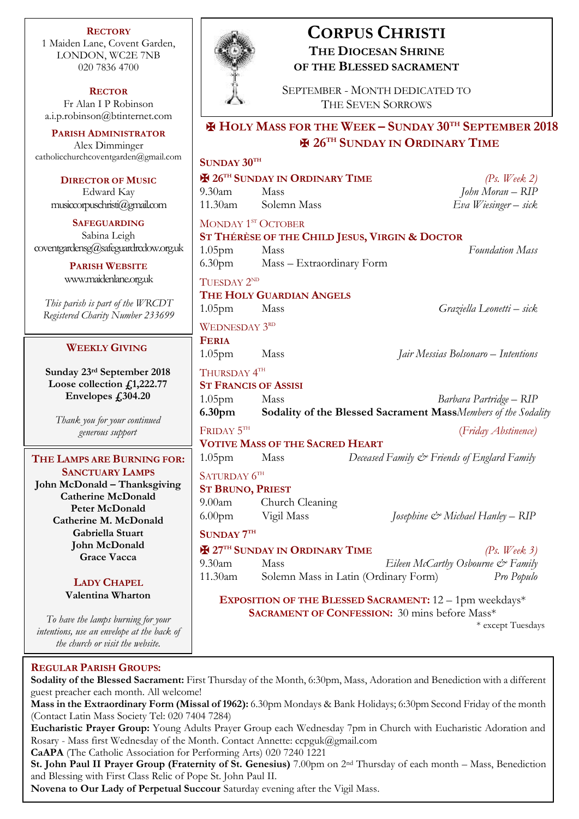**RECTORY** 1 Maiden Lane, Covent Garden, LONDON, WC2E 7NB 020 7836 4700

**RECTOR** Fr Alan I P Robinson [a.i.p.robinson@btinternet.com](mailto:a.i.p.robinson@btinternet.com)

**PARISH ADMINISTRATOR** Alex Dimminger [catholicchurchcoventgarden@gmail.com](mailto:catholicchurchcoventgarden@gmail.com)

**DIRECTOR OF MUSIC** Edward Kay musiccorpuschristi@gmail.com

**SAFEGUARDING** Sabina Leigh [coventgardensg@safeguardrcdow.org.uk](mailto:coventgardensg@safeguardrcdow.org.uk)

> **PARISH WEBSITE** [www.maidenlane.org.uk](http://www.maidenlane.org.uk/)

*This parish is part of the WRCDT Registered Charity Number 233699*

## **WEEKLY GIVING**

**Sunday 23rd September 2018 Loose collection £1,222.77 Envelopes £304.20**

*Thank you for your continued generous support*

## **THE LAMPS ARE BURNING FOR: SANCTUARY LAMPS**

**John McDonald – Thanksgiving Catherine McDonald Peter McDonald Catherine M. McDonald Gabriella Stuart John McDonald Grace Vacca**

## **LADY CHAPEL Valentina Wharton**

*To have the lamps burning for your intentions, use an envelope at the back of the church or visit the website.*

# **REGULAR PARISH GROUPS:**

**Sodality of the Blessed Sacrament:** First Thursday of the Month, 6:30pm, Mass, Adoration and Benediction with a different guest preacher each month. All welcome!

**Mass in the Extraordinary Form (Missal of 1962):** 6.30pm Mondays & Bank Holidays; 6:30pm Second Friday of the month (Contact Latin Mass Society Tel: 020 7404 7284)

**Eucharistic Prayer Group:** Young Adults Prayer Group each Wednesday 7pm in Church with Eucharistic Adoration and Rosary - Mass first Wednesday of the Month. Contact Annette: ccpguk@gmail.com

**CaAPA** (The Catholic Association for Performing Arts) 020 7240 1221

**St. John Paul II Prayer Group (Fraternity of St. Genesius)** 7.00pm on 2nd Thursday of each month – Mass, Benediction and Blessing with First Class Relic of Pope St. John Paul II.

**Novena to Our Lady of Perpetual Succour** Saturday evening after the Vigil Mass.



# **CORPUS CHRISTI THE DIOCESAN SHRINE OF THE BLESSED SACRAMENT**

SEPTEMBER - MONTH DEDICATED TO THE SEVEN SORROWS

## ✠ **HOLY MASS FOR THE WEEK – SUNDAY 30TH SEPTEMBER 2018** ✠ **26TH SUNDAY IN ORDINARY TIME**

# **SUNDAY 30TH** ✠ **26TH SUNDAY IN ORDINARY TIME** *(Ps. Week 2)* 9.30am Mass *John Moran – RIP* 11.30am Solemn Mass *Eva Wiesinger – sick* MONDAY 1<sup>st</sup> OCTOBER **ST THÉRÈSE OF THE CHILD JESUS, VIRGIN & DOCTOR** 1.05pm Mass *Foundation Mass* 6.30pm Mass – Extraordinary Form TUESDAY 2<sup>ND</sup> **THE HOLY GUARDIAN ANGELS** 1.05pm Mass *Graziella Leonetti – sick* WEDNESDAY 3<sup>RD</sup> **FERIA** 1.05pm Mass *Jair Messias Bolsonaro – Intentions* Thursday  $4^{\text{\tiny{TH}}}$ **ST FRANCIS OF ASSISI** 1.05pm Mass *Barbara Partridge – RIP* **6.30pm Sodality of the Blessed Sacrament Mass***Members of the Sodality* Friday 5<sup>th</sup> (*Friday Abstinence)* **VOTIVE MASS OF THE SACRED HEART** 1.05pm Mass *Deceased Family & Friends of Englard Family* SATURDAY  $6^{\text{\tiny{TH}}}$ **ST BRUNO, PRIEST** 9.00am Church Cleaning 6.00pm Vigil Mass *Josephine & Michael Hanley – RIP*   $S$ **UNDAY**  $7<sup>TH</sup>$ ✠ **27TH SUNDAY IN ORDINARY TIME** *(Ps. Week 3)* 9.30am Mass *Eileen McCarthy Osbourne & Family* 11.30am Solemn Mass in Latin (Ordinary Form) *Pro Populo* **EXPOSITION OF THE BLESSED SACRAMENT:** 12 – 1pm weekdays\* **SACRAMENT OF CONFESSION:** 30 mins before Mass\* \* except Tuesdays